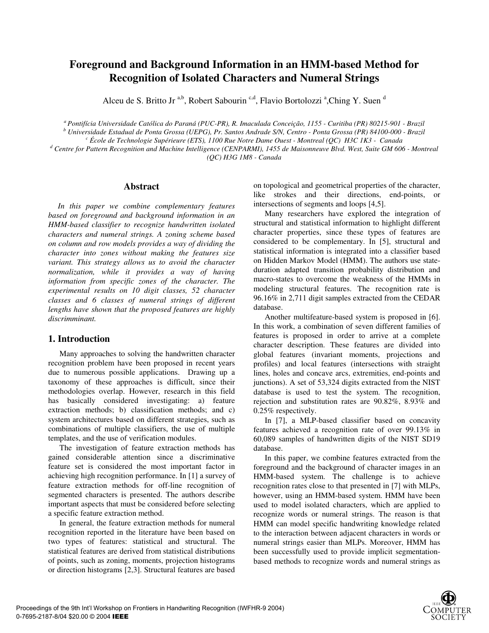# **Foreground and Background Information in an HMM-based Method for Recognition of Isolated Characters and Numeral Strings**

Alceu de S. Britto Jr<sup>a,b</sup>, Robert Sabourin<sup>c,d</sup>, Flavio Bortolozzi<sup>a</sup>, Ching Y. Suen<sup>d</sup>

*a Pontifícia Universidade Católica do Paraná (PUC-PR), R. Imaculada Conceição, 1155 - Curitiba (PR) 80215-901 - Brazil* 

<sup>b</sup> Universidade Estadual de Ponta Grossa (UEPG), Pr. Santos Andrade S/N, Centro - Ponta Grossa (PR) 84100-000 - Brazil<br>Crossa de Technologie Sunérieure (ETS), 1100 Pue Notre Dame Quest, Montreal (OC), H3C 1K3 - Canada

 *École de Technologie Supérieure (ETS), 1100 Rue Notre Dame Ouest - Montreal (QC) H3C 1K3 - Canada d*

 *Centre for Pattern Recognition and Machine Intelligence (CENPARMI), 1455 de Maisonneuve Blvd. West, Suite GM 606 - Montreal (QC) H3G 1M8 - Canada* 

### **Abstract**

*In this paper we combine complementary features based on foreground and background information in an HMM-based classifier to recognize handwritten isolated characters and numeral strings. A zoning scheme based on column and row models provides a way of dividing the character into zones without making the features size variant. This strategy allows us to avoid the character normalization, while it provides a way of having information from specific zones of the character. The experimental results on 10 digit classes, 52 character classes and 6 classes of numeral strings of different lengths have shown that the proposed features are highly discrimminant.* 

# **1. Introduction**

Many approaches to solving the handwritten character recognition problem have been proposed in recent years due to numerous possible applications. Drawing up a taxonomy of these approaches is difficult, since their methodologies overlap. However, research in this field has basically considered investigating: a) feature extraction methods; b) classification methods; and c) system architectures based on different strategies, such as combinations of multiple classifiers, the use of multiple templates, and the use of verification modules.

The investigation of feature extraction methods has gained considerable attention since a discriminative feature set is considered the most important factor in achieving high recognition performance. In [1] a survey of feature extraction methods for off-line recognition of segmented characters is presented. The authors describe important aspects that must be considered before selecting a specific feature extraction method.

In general, the feature extraction methods for numeral recognition reported in the literature have been based on two types of features: statistical and structural. The statistical features are derived from statistical distributions of points, such as zoning, moments, projection histograms or direction histograms [2,3]. Structural features are based

on topological and geometrical properties of the character, like strokes and their directions, end-points, or intersections of segments and loops [4,5].

Many researchers have explored the integration of structural and statistical information to highlight different character properties, since these types of features are considered to be complementary. In [5], structural and statistical information is integrated into a classifier based on Hidden Markov Model (HMM). The authors use stateduration adapted transition probability distribution and macro-states to overcome the weakness of the HMMs in modeling structural features. The recognition rate is 96.16% in 2,711 digit samples extracted from the CEDAR database.

Another multifeature-based system is proposed in [6]. In this work, a combination of seven different families of features is proposed in order to arrive at a complete character description. These features are divided into global features (invariant moments, projections and profiles) and local features (intersections with straight lines, holes and concave arcs, extremities, end-points and junctions). A set of 53,324 digits extracted from the NIST database is used to test the system. The recognition, rejection and substitution rates are 90.82%, 8.93% and 0.25% respectively.

In [7], a MLP-based classifier based on concavity features achieved a recognition rate of over 99.13% in 60,089 samples of handwritten digits of the NIST SD19 database.

In this paper, we combine features extracted from the foreground and the background of character images in an HMM-based system. The challenge is to achieve recognition rates close to that presented in [7] with MLPs, however, using an HMM-based system. HMM have been used to model isolated characters, which are applied to recognize words or numeral strings. The reason is that HMM can model specific handwriting knowledge related to the interaction between adjacent characters in words or numeral strings easier than MLPs. Moreover, HMM has been successfully used to provide implicit segmentationbased methods to recognize words and numeral strings as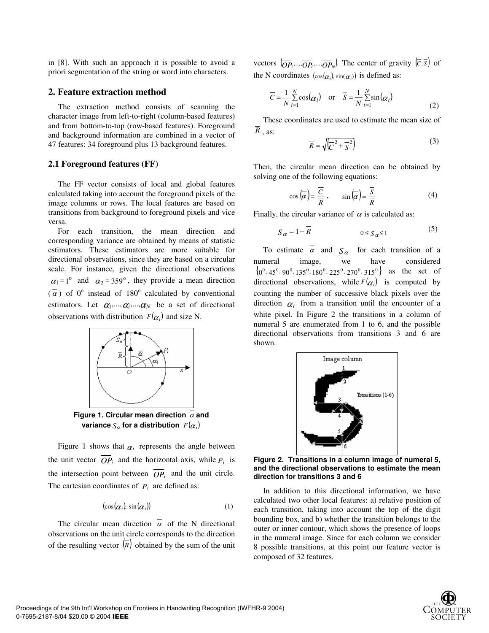in [8]. With such an approach it is possible to avoid a priori segmentation of the string or word into characters.

#### **2. Feature extraction method**

The extraction method consists of scanning the character image from left-to-right (column-based features) and from bottom-to-top (row-based features). Foreground and background information are combined in a vector of 47 features: 34 foreground plus 13 background features.

#### **2.1 Foreground features (FF)**

The FF vector consists of local and global features calculated taking into account the foreground pixels of the image columns or rows. The local features are based on transitions from background to foreground pixels and vice versa.

For each transition, the mean direction and corresponding variance are obtained by means of statistic estimators. These estimators are more suitable for directional observations, since they are based on a circular scale. For instance, given the directional observations  $\alpha_1 = 1^{\circ}$  and  $\alpha_2 = 359^{\circ}$ , they provide a mean direction  $(\overline{\alpha})$  of 0° instead of 180° calculated by conventional estimators. Let  $\alpha_1, ..., \alpha_i, ..., \alpha_N$  be a set of directional observations with distribution  $F(\alpha_i)$  and size N.



**Figure 1. Circular mean direction** <sup>α</sup> **and variance**  $S_\alpha$  for a distribution  $F(\alpha_i)$ 

Figure 1 shows that  $\alpha_i$  represents the angle between the unit vector  $\overline{OP_i}$  and the horizontal axis, while  $P_i$  is the intersection point between  $\overline{OP_i}$  and the unit circle. The cartesian coordinates of  $P_i$  are defined as:

$$
(\cos(\alpha_i), \sin(\alpha_i)) \tag{1}
$$

The circular mean direction  $\overline{\alpha}$  of the N directional observations on the unit circle corresponds to the direction of the resulting vector  $\overline{R}$  obtained by the sum of the unit vectors  $\overline{(OP_1, ..., OP_N)}$ . The center of gravity  $(\overline{C}, \overline{S})$  of the N coordinates  $(\cos(\alpha_i), \sin(\alpha_i))$  is defined as:

$$
\overline{C} = \frac{1}{N} \sum_{i=1}^{N} \cos(\alpha_i) \quad \text{or} \quad \overline{S} = \frac{1}{N} \sum_{i=1}^{N} \sin(\alpha_i)
$$
(2)

These coordinates are used to estimate the mean size of  $\overline{R}$ , as:

$$
\overline{R} = \sqrt{\overline{C}^2 + \overline{S}^2}
$$
 (3)

Then, the circular mean direction can be obtained by solving one of the following equations:

$$
\cos\left(\overline{\alpha}\right) = \frac{\overline{C}}{\overline{R}}, \qquad \sin\left(\overline{\alpha}\right) = \frac{\overline{S}}{\overline{R}}
$$
 (4)

Finally, the circular variance of  $\overline{\alpha}$  is calculated as:

$$
S_{\alpha} = 1 - \overline{R} \tag{5}
$$

To estimate  $\overline{\alpha}$  and  $S_{\alpha}$  for each transition of a numeral image, we have considered  ${0^0, 45^0, 90^0, 135^0, 180^0, 225^0, 270^0, 315^0}$  as the set of directional observations, while  $F(\alpha_i)$  is computed by counting the number of successive black pixels over the direction  $\alpha_i$  from a transition until the encounter of a white pixel. In Figure 2 the transitions in a column of numeral 5 are enumerated from 1 to 6, and the possible directional observations from transitions 3 and 6 are shown.



**Figure 2. Transitions in a column image of numeral 5, and the directional observations to estimate the mean direction for transitions 3 and 6** 

In addition to this directional information, we have calculated two other local features: a) relative position of each transition, taking into account the top of the digit bounding box, and b) whether the transition belongs to the outer or inner contour, which shows the presence of loops in the numeral image. Since for each column we consider 8 possible transitions, at this point our feature vector is composed of 32 features.

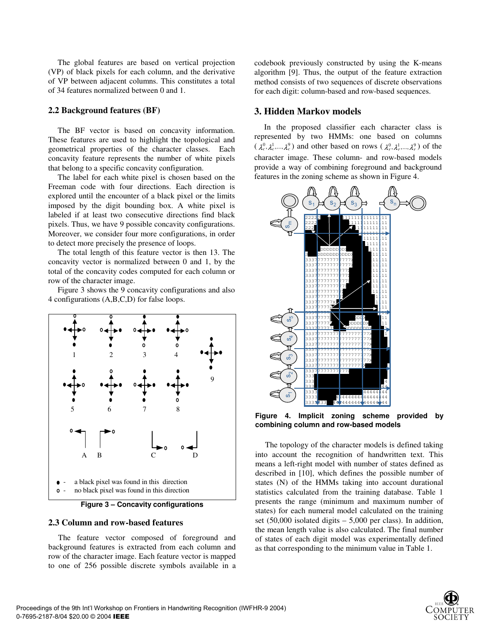The global features are based on vertical projection (VP) of black pixels for each column, and the derivative of VP between adjacent columns. This constitutes a total of 34 features normalized between 0 and 1.

#### **2.2 Background features (BF)**

The BF vector is based on concavity information. These features are used to highlight the topological and geometrical properties of the character classes. Each concavity feature represents the number of white pixels that belong to a specific concavity configuration.

The label for each white pixel is chosen based on the Freeman code with four directions. Each direction is explored until the encounter of a black pixel or the limits imposed by the digit bounding box. A white pixel is labeled if at least two consecutive directions find black pixels. Thus, we have 9 possible concavity configurations. Moreover, we consider four more configurations, in order to detect more precisely the presence of loops.

The total length of this feature vector is then 13. The concavity vector is normalized between 0 and 1, by the total of the concavity codes computed for each column or row of the character image.

Figure 3 shows the 9 concavity configurations and also 4 configurations (A,B,C,D) for false loops.



**Figure 3 – Concavity configurations** 

#### **2.3 Column and row-based features**

The feature vector composed of foreground and background features is extracted from each column and row of the character image. Each feature vector is mapped to one of 256 possible discrete symbols available in a codebook previously constructed by using the K-means algorithm [9]. Thus, the output of the feature extraction method consists of two sequences of discrete observations for each digit: column-based and row-based sequences.

#### **3. Hidden Markov models**

In the proposed classifier each character class is represented by two HMMs: one based on columns  $(\lambda_c^0, \lambda_c^1, ..., \lambda_c^9)$  and other based on rows  $(\lambda_r^0, \lambda_r^1, ..., \lambda_r^9)$  of the character image. These column- and row-based models provide a way of combining foreground and background features in the zoning scheme as shown in Figure 4.



**Figure 4. Implicit zoning scheme provided by combining column and row-based models** 

The topology of the character models is defined taking into account the recognition of handwritten text. This means a left-right model with number of states defined as described in [10], which defines the possible number of states (N) of the HMMs taking into account durational statistics calculated from the training database. Table 1 presents the range (minimum and maximum number of states) for each numeral model calculated on the training set  $(50,000)$  isolated digits  $-5,000$  per class). In addition, the mean length value is also calculated. The final number of states of each digit model was experimentally defined as that corresponding to the minimum value in Table 1.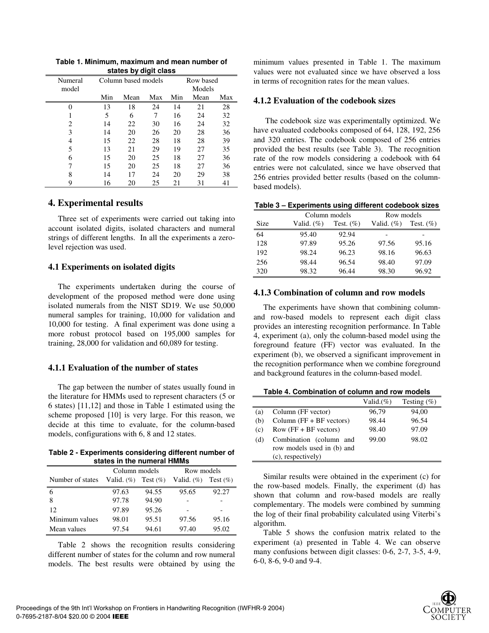**Table 1. Minimum, maximum and mean number of states by digit class** 

| omnoo wy urgii viuoo |     |                                  |     |        |      |     |  |  |  |  |
|----------------------|-----|----------------------------------|-----|--------|------|-----|--|--|--|--|
| Numeral              |     | Row based<br>Column based models |     |        |      |     |  |  |  |  |
| model                |     |                                  |     | Models |      |     |  |  |  |  |
|                      | Min | Mean                             | Max | Min    | Mean | Max |  |  |  |  |
| 0                    | 13  | 18                               | 24  | 14     | 21   | 28  |  |  |  |  |
|                      | 5   | 6                                | 7   | 16     | 24   | 32  |  |  |  |  |
| 2                    | 14  | 22                               | 30  | 16     | 24   | 32  |  |  |  |  |
| 3                    | 14  | 20                               | 26  | 20     | 28   | 36  |  |  |  |  |
| 4                    | 15  | 22                               | 28  | 18     | 28   | 39  |  |  |  |  |
| 5                    | 13  | 21                               | 29  | 19     | 27   | 35  |  |  |  |  |
| 6                    | 15  | 20                               | 25  | 18     | 27   | 36  |  |  |  |  |
| 7                    | 15  | 20                               | 25  | 18     | 27   | 36  |  |  |  |  |
| 8                    | 14  | 17                               | 24  | 20     | 29   | 38  |  |  |  |  |
| 9                    | 16  | 20                               | 25  | 21     | 31   | 41  |  |  |  |  |

# **4. Experimental results**

Three set of experiments were carried out taking into account isolated digits, isolated characters and numeral strings of different lengths. In all the experiments a zerolevel rejection was used.

# **4.1 Experiments on isolated digits**

The experiments undertaken during the course of development of the proposed method were done using isolated numerals from the NIST SD19. We use 50,000 numeral samples for training, 10,000 for validation and 10,000 for testing. A final experiment was done using a more robust protocol based on 195,000 samples for training, 28,000 for validation and 60,089 for testing.

# **4.1.1 Evaluation of the number of states**

The gap between the number of states usually found in the literature for HMMs used to represent characters (5 or 6 states) [11,12] and those in Table 1 estimated using the scheme proposed [10] is very large. For this reason, we decide at this time to evaluate, for the column-based models, configurations with 6, 8 and 12 states.

**Table 2 - Experiments considering different number of states in the numeral HMMs** 

| 30003 TH GIG HUILGIU HIIIR |               |       |                                                     |       |  |  |  |  |  |  |  |
|----------------------------|---------------|-------|-----------------------------------------------------|-------|--|--|--|--|--|--|--|
|                            | Column models |       | Row models                                          |       |  |  |  |  |  |  |  |
| Number of states           |               |       | Valid. $(\%)$ Test $(\%)$ Valid. $(\%)$ Test $(\%)$ |       |  |  |  |  |  |  |  |
| 6                          | 97.63         | 94.55 | 95.65                                               | 92.27 |  |  |  |  |  |  |  |
| 8                          | 97.78         | 94.90 |                                                     |       |  |  |  |  |  |  |  |
| 12                         | 97.89         | 95.26 |                                                     |       |  |  |  |  |  |  |  |
| Minimum values             | 98.01         | 95.51 | 97.56                                               | 95.16 |  |  |  |  |  |  |  |
| Mean values                | 97.54         | 94.61 | 97.40                                               | 95.02 |  |  |  |  |  |  |  |

Table 2 shows the recognition results considering different number of states for the column and row numeral models. The best results were obtained by using the

minimum values presented in Table 1. The maximum values were not evaluated since we have observed a loss in terms of recognition rates for the mean values.

### **4.1.2 Evaluation of the codebook sizes**

The codebook size was experimentally optimized. We have evaluated codebooks composed of 64, 128, 192, 256 and 320 entries. The codebook composed of 256 entries provided the best results (see Table 3). The recognition rate of the row models considering a codebook with 64 entries were not calculated, since we have observed that 256 entries provided better results (based on the columnbased models).

|      | Column models |              | Row models    |              |  |
|------|---------------|--------------|---------------|--------------|--|
| Size | Valid. $(\%)$ | Test. $(\%)$ | Valid. $(\%)$ | Test. $(\%)$ |  |
| 64   | 95.40         | 92.94        |               |              |  |
| 128  | 97.89         | 95.26        | 97.56         | 95.16        |  |
| 192  | 98.24         | 96.23        | 98.16         | 96.63        |  |
| 256  | 98.44         | 96.54        | 98.40         | 97.09        |  |
| 320  | 98.32         | 96.44        | 98.30         | 96.92        |  |

# **4.1.3 Combination of column and row models**

The experiments have shown that combining columnand row-based models to represent each digit class provides an interesting recognition performance. In Table 4, experiment (a), only the column-based model using the foreground feature (FF) vector was evaluated. In the experiment (b), we observed a significant improvement in the recognition performance when we combine foreground and background features in the column-based model.

**Table 4. Combination of column and row models** 

|     |                                                                             | Valid.(%) | Testing $(\%)$ |
|-----|-----------------------------------------------------------------------------|-----------|----------------|
| (a) | Column (FF vector)                                                          | 96,79     | 94,00          |
| (b) | Column $(FF + BF$ vectors)                                                  | 98.44     | 96.54          |
| (c) | $Row$ (FF + BF vectors)                                                     | 98.40     | 97.09          |
| (d) | Combination (column and<br>row models used in (b) and<br>(c), respectively) | 99.00     | 98.02          |

Similar results were obtained in the experiment (c) for the row-based models. Finally, the experiment (d) has shown that column and row-based models are really complementary. The models were combined by summing the log of their final probability calculated using Viterbi's algorithm.

Table 5 shows the confusion matrix related to the experiment (a) presented in Table 4. We can observe many confusions between digit classes: 0-6, 2-7, 3-5, 4-9, 6-0, 8-6, 9-0 and 9-4.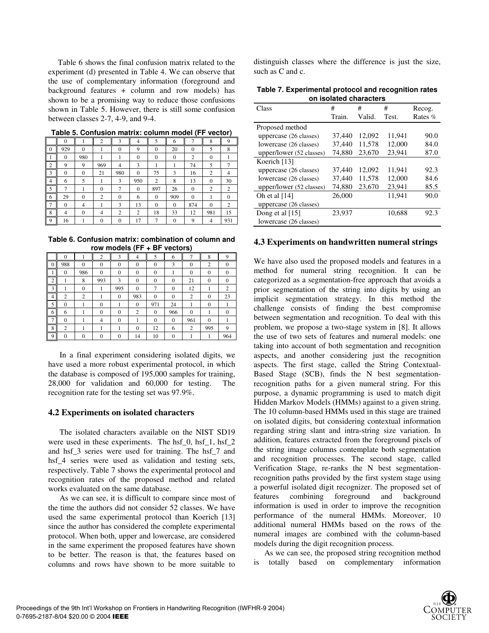Table 6 shows the final confusion matrix related to the experiment (d) presented in Table 4. We can observe that the use of complementary information (foreground and background features + column and row models) has shown to be a promising way to reduce those confusions shown in Table 5. However, there is still some confusion between classes 2-7, 4-9, and 9-4.

|                | $\mathbf{0}$   |              | $\overline{2}$   | 3                | 4              | 5              | 6            | ⇁            | 8            | 9              |
|----------------|----------------|--------------|------------------|------------------|----------------|----------------|--------------|--------------|--------------|----------------|
| $\mathbf{0}$   | 929            | $\theta$     |                  | $\mathbf{0}$     | 9              | $\mathbf{0}$   | 20           | $\mathbf{0}$ | 5            | 8              |
| 1              | $\mathbf{0}$   | 980          | 1                |                  | $\mathbf{0}$   | $\mathbf{0}$   | $\mathbf{0}$ | 2            | $\mathbf{0}$ |                |
| $\overline{c}$ | 9              | 9            | 969              | 4                | 3              |                |              | 74           | 5            |                |
| 3              | $\mathbf{0}$   | $\mathbf{0}$ | 21               | 980              | $\theta$       | 75             | 3            | 16           | 2            | 4              |
| $\overline{4}$ | 6              | 5            |                  | 3                | 950            | 2              | 8            | 13           | $\Omega$     | 30             |
| 5              | 7              |              | $\boldsymbol{0}$ | 7                | $\theta$       | 897            | 26           | $\mathbf{0}$ | 2            | $\overline{c}$ |
| 6              | 29             | $\Omega$     | 2                | $\Omega$         | 6              | $\Omega$       | 909          | $\Omega$     |              | $\theta$       |
| $\overline{7}$ | $\mathbf{0}$   | 4            |                  | 3                | 13             | $\mathbf{0}$   | $\mathbf{0}$ | 874          | $\mathbf{0}$ | $\overline{c}$ |
| 8              | $\overline{4}$ | $\Omega$     | 4                | $\overline{c}$   | $\overline{2}$ | 18             | 33           | 12           | 981          | 15             |
| 9              | 16             |              | $\mathbf{0}$     | $\boldsymbol{0}$ | 17             | $\overline{7}$ | $\mathbf{0}$ | 9            | 4            | 931            |
|                |                |              |                  |                  |                |                |              |              |              |                |

**Table 5. Confusion matrix: column model (FF vector)** 

**Table 6. Confusion matrix: combination of column and row models (FF + BF vectors)** 

|   | $\mathbf{0}$   |                | $\overline{2}$ | 3            | 4            | 5            | 6            |              | 8              | Q        |
|---|----------------|----------------|----------------|--------------|--------------|--------------|--------------|--------------|----------------|----------|
| 0 | 988            | $\Omega$       | $\Omega$       | $\mathbf{0}$ | $\mathbf{0}$ | $\mathbf{0}$ | 3            | $\mathbf{0}$ | $\overline{2}$ | $\theta$ |
|   | $\theta$       | 986            | $\Omega$       | $\theta$     | $\mathbf{0}$ | $\theta$     |              | $\mathbf{0}$ | $\mathbf{0}$   | $\Omega$ |
| ◠ |                | 8              | 993            | 3            | $\mathbf{0}$ | $\theta$     | 0            | 21           | $\mathbf{0}$   |          |
| 3 |                | $\theta$       |                | 995          | $\mathbf{0}$ |              | $\mathbf{0}$ | 12           |                | 2        |
| 4 | $\overline{c}$ | $\overline{c}$ |                | $\theta$     | 983          | $\theta$     | $\mathbf{0}$ | 2            | $\mathbf{0}$   | 23       |
| 5 | 0              |                | $\Omega$       |              | $\mathbf{0}$ | 971          | 24           |              | $\mathbf{0}$   |          |
| 6 | 6              |                | $\Omega$       | $\theta$     | 2            | $\theta$     | 966          | $\Omega$     |                |          |
|   | $\theta$       |                | 4              | $\Omega$     |              | $\theta$     | $\mathbf{0}$ | 961          | $\overline{0}$ |          |
| 8 | 2              |                |                |              | $\mathbf{0}$ | 12           | 6            | 2            | 995            | Q        |
| 9 | 0              | $\Omega$       | $\mathbf{0}$   | $\Omega$     | 14           | 10           | $\mathbf{0}$ |              |                | 964      |

In a final experiment considering isolated digits, we have used a more robust experimental protocol, in which the database is composed of 195,000 samples for training, 28,000 for validation and 60,000 for testing. The recognition rate for the testing set was 97.9%.

#### **4.2 Experiments on isolated characters**

The isolated characters available on the NIST SD19 were used in these experiments. The hsf\_0, hsf\_1, hsf\_2 and hsf\_3 series were used for training. The hsf\_7 and hsf 4 series were used as validation and testing sets, respectively. Table 7 shows the experimental protocol and recognition rates of the proposed method and related works evaluated on the same database.

As we can see, it is difficult to compare since most of the time the authors did not consider 52 classes. We have used the same experimental protocol than Koerich [13] since the author has considered the complete experimental protocol. When both, upper and lowercase, are considered in the same experiment the proposed features have shown to be better. The reason is that, the features based on columns and rows have shown to be more suitable to

distinguish classes where the difference is just the size, such as C and c.

**Table 7. Experimental protocol and recognition rates on isolated characters** 

| Class                    | #      | #      | #      | Recog.  |
|--------------------------|--------|--------|--------|---------|
|                          | Train. | Valid. | Test.  | Rates % |
| Proposed method          |        |        |        |         |
| uppercase (26 classes)   | 37,440 | 12,092 | 11.941 | 90.0    |
| lowercase (26 classes)   | 37.440 | 11,578 | 12,000 | 84.0    |
| upper/lower (52 classes) | 74,880 | 23,670 | 23.941 | 87.0    |
| Koerich [13]             |        |        |        |         |
| uppercase (26 classes)   | 37,440 | 12.092 | 11.941 | 92.3    |
| lowercase (26 classes)   | 37,440 | 11,578 | 12,000 | 84.6    |
| upper/lower (52 classes) | 74,880 | 23,670 | 23.941 | 85.5    |
| Oh et al $[14]$          | 26,000 |        | 11.941 | 90.0    |
| uppercase (26 classes)   |        |        |        |         |
| Dong et al $[15]$        | 23.937 |        | 10.688 | 92.3    |
| lowercase (26 classes)   |        |        |        |         |

#### **4.3 Experiments on handwritten numeral strings**

We have also used the proposed models and features in a method for numeral string recognition. It can be categorized as a segmentation-free approach that avoids a prior segmentation of the string into digits by using an implicit segmentation strategy. In this method the challenge consists of finding the best compromise between segmentation and recognition. To deal with this problem, we propose a two-stage system in [8]. It allows the use of two sets of features and numeral models: one taking into account of both segmentation and recognition aspects, and another considering just the recognition aspects. The first stage, called the String Contextual-Based Stage (SCB), finds the N best segmentationrecognition paths for a given numeral string. For this purpose, a dynamic programming is used to match digit Hidden Markov Models (HMMs) against to a given string. The 10 column-based HMMs used in this stage are trained on isolated digits, but considering contextual information regarding string slant and intra-string size variation. In addition, features extracted from the foreground pixels of the string image columns contemplate both segmentation and recognition processes. The second stage, called Verification Stage, re-ranks the N best segmentationrecognition paths provided by the first system stage using a powerful isolated digit recognizer. The proposed set of features combining foreground and background information is used in order to improve the recognition performance of the numeral HMMs. Moreover, 10 additional numeral HMMs based on the rows of the numeral images are combined with the column-based models during the digit recognition process.

As we can see, the proposed string recognition method is totally based on complementary information